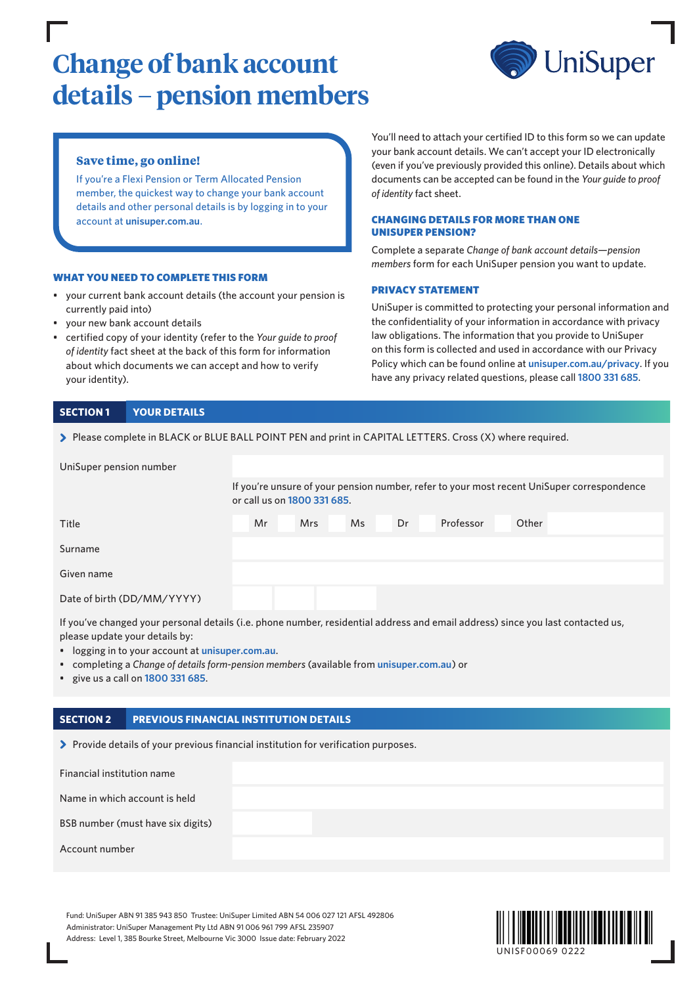# **Change of bank account details – pension members**



# **Save time, go online!**

If you're a Flexi Pension or Term Allocated Pension member, the quickest way to change your bank account details and other personal details is by logging in to your account at **[unisuper.com.au](http://www.unisuper.com.au)** .

# WHAT YOU NEED TO COMPLETE THIS FORM

- your current bank account details (the account your pension is currently paid into)
- your new bank account details
- certified copy of your identity (refer to the *Your guide to proof of identity* fact sheet at the back of this form for information about which documents we can accept and how to verify your identity).

You'll need to attach your certified ID to this form so we can update your bank account details. We can't accept your ID electronically (even if you've previously provided this online). Details about which documents can be accepted can be found in the *Your guide to proof of identity* fact sheet.

## CHANGING DETAILS FOR MORE THAN ONE UNISUPER PENSION?

Complete a separate *Change of bank account details—pension members* form for each UniSuper pension you want to update.

#### PRIVACY STATEMENT

UniSuper is committed to protecting your personal information and the confidentiality of your information in accordance with privacy law obligations. The information that you provide to UniSuper on this form is collected and used in accordance with our Privacy Policy which can be found online at **[unisuper.com.au/privacy](http://unisuper.com.au/privacy)** . If you have any privacy related questions, please call **1800 331 685**.

## **SECTION 1 YOUR DETAILS**

> Please complete in BLACK or BLUE BALL POINT PEN and print in CAPITAL LETTERS. Cross (X) where required.

| UniSuper pension number    |                                                                                                                           |            |    |    |           |       |  |
|----------------------------|---------------------------------------------------------------------------------------------------------------------------|------------|----|----|-----------|-------|--|
|                            | If you're unsure of your pension number, refer to your most recent UniSuper correspondence<br>or call us on 1800 331 685. |            |    |    |           |       |  |
| Title                      | Mr                                                                                                                        | <b>Mrs</b> | Ms | Dr | Professor | Other |  |
| Surname                    |                                                                                                                           |            |    |    |           |       |  |
| Given name                 |                                                                                                                           |            |    |    |           |       |  |
| Date of birth (DD/MM/YYYY) |                                                                                                                           |            |    |    |           |       |  |

If you've changed your personal details (i.e. phone number, residential address and email address) since you last contacted us, please update your details by:

- logging in to your account at **[unisuper.com.au](http://unisuper.com.au)** .
- completing a *Change of details form-pension members* (available from **[unisuper.com.au](http://unisuper.com.au)** ) or
- give us a call on **1800 331 685**.

## **SECTION 2 PREVIOUS FINANCIAL INSTITUTION DETAILS**

> Provide details of your previous financial institution for verification purposes.

| Financial institution name        |  |  |  |
|-----------------------------------|--|--|--|
| Name in which account is held     |  |  |  |
| BSB number (must have six digits) |  |  |  |
| Account number                    |  |  |  |

Fund: UniSuper ABN 91 385 943 850 Trustee: UniSuper Limited ABN 54 006 027 121 AFSL 492806 Administrator: UniSuper Management Pty Ltd ABN 91 006 961 799 AFSL 235907 Address: Level 1, 385 Bourke Street, Melbourne Vic 3000 Issue date: February 2022